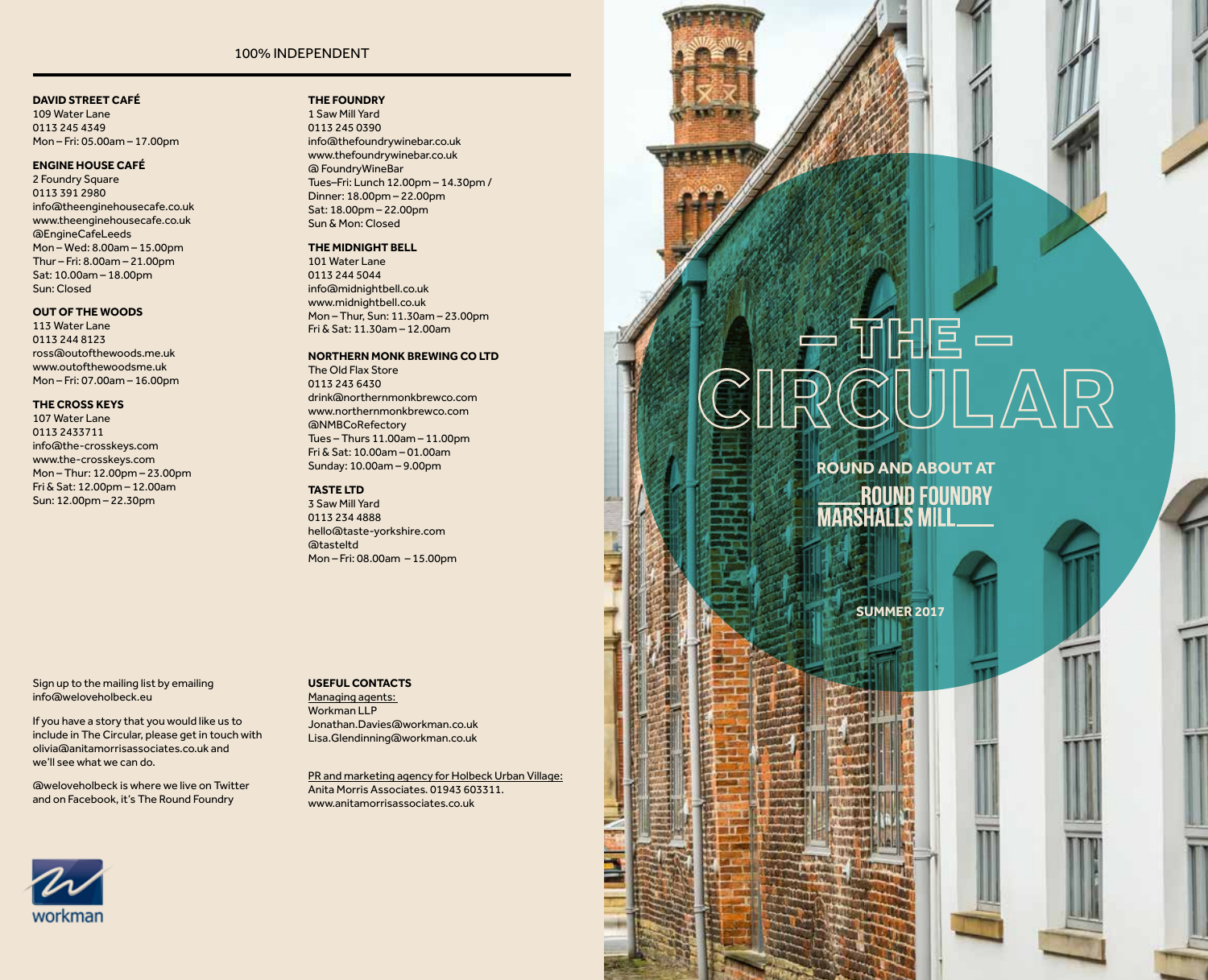#### 100% INDEPENDENT

#### **DAVID STREET CAFÉ**

109 Water Lane 0113 245 4349 Mon – Fri: 05.00am – 17.00pm

#### **ENGINE HOUSE CAFÉ**

2 Foundry Square 0113 391 2980 info@theenginehousecafe.co.uk www.theenginehousecafe.co.uk @EngineCafeLeeds Mon – Wed: 8.00am – 15.00pm Thur – Fri: 8.00am – 21.00pm Sat: 10.00am – 18.00pm Sun: Closed

#### **OUT OF THE WOODS**

113 Water Lane 0113 244 8123 ross@outofthewoods.me.uk www.outofthewoodsme.uk Mon – Fri: 07.00am – 16.00pm

#### **THE CROSS KEYS**

107 Water Lane 0113 2433711 info@the-crosskeys.com www.the-crosskeys.com Mon – Thur: 12.00pm – 23.00pm Fri & Sat: 12.00pm – 12.00am Sun: 12.00pm – 22.30pm

**THE FOUNDRY** 

1 Saw Mill Yard 0113 245 0390 info@thefoundrywinebar.co.uk www.thefoundrywinebar.co.uk @ FoundryWineBar Tues–Fri: Lunch 12.00pm – 14.30pm / Dinner: 18.00pm – 22.00pm Sat: 18.00pm – 22.00pm Sun & Mon: Closed

### **THE MIDNIGHT BELL**

101 Water Lane 0113 244 5044 info@midnightbell.co.uk www.midnightbell.co.uk Mon – Thur, Sun: 11.30am – 23.00pm Fri & Sat: 11.30am – 12.00am

#### **NORTHERN MONK BREWING CO LTD** The Old Flax Store 0113 243 6430

drink@northernmonkbrewco.com www.northernmonkbrewco.com @NMBCoRefectory Tues – Thurs 11.00am – 11.00pm Fri & Sat: 10.00am – 01.00am Sunday: 10.00am – 9.00pm

#### **TASTE LTD**

3 Saw Mill Yard 0113 234 4888 hello@taste-yorkshire.com @tasteltd Mon – Fri: 08.00am – 15.00pm

Sign up to the mailing list by emailing info@weloveholbeck.eu

If you have a story that you would like us to include in The Circular, please get in touch with olivia@anitamorrisassociates.co.uk and we'll see what we can do.

@weloveholbeck is where we live on Twitter and on Facebook, it's The Round Foundry

#### **USEFUL CONTACTS**

Managing agents: Workman LLP Jonathan.Davies@workman.co.uk Lisa.Glendinning@workman.co.uk

PR and marketing agency for Holbeck Urban Village: Anita Morris Associates. 01943 603311. www.anitamorrisassociates.co.uk

# $\frac{1}{R}$

**ROUND AND ABOUT AT** ROUND FOUNDRY

**SUMMER 2017**

**PERMIT** 

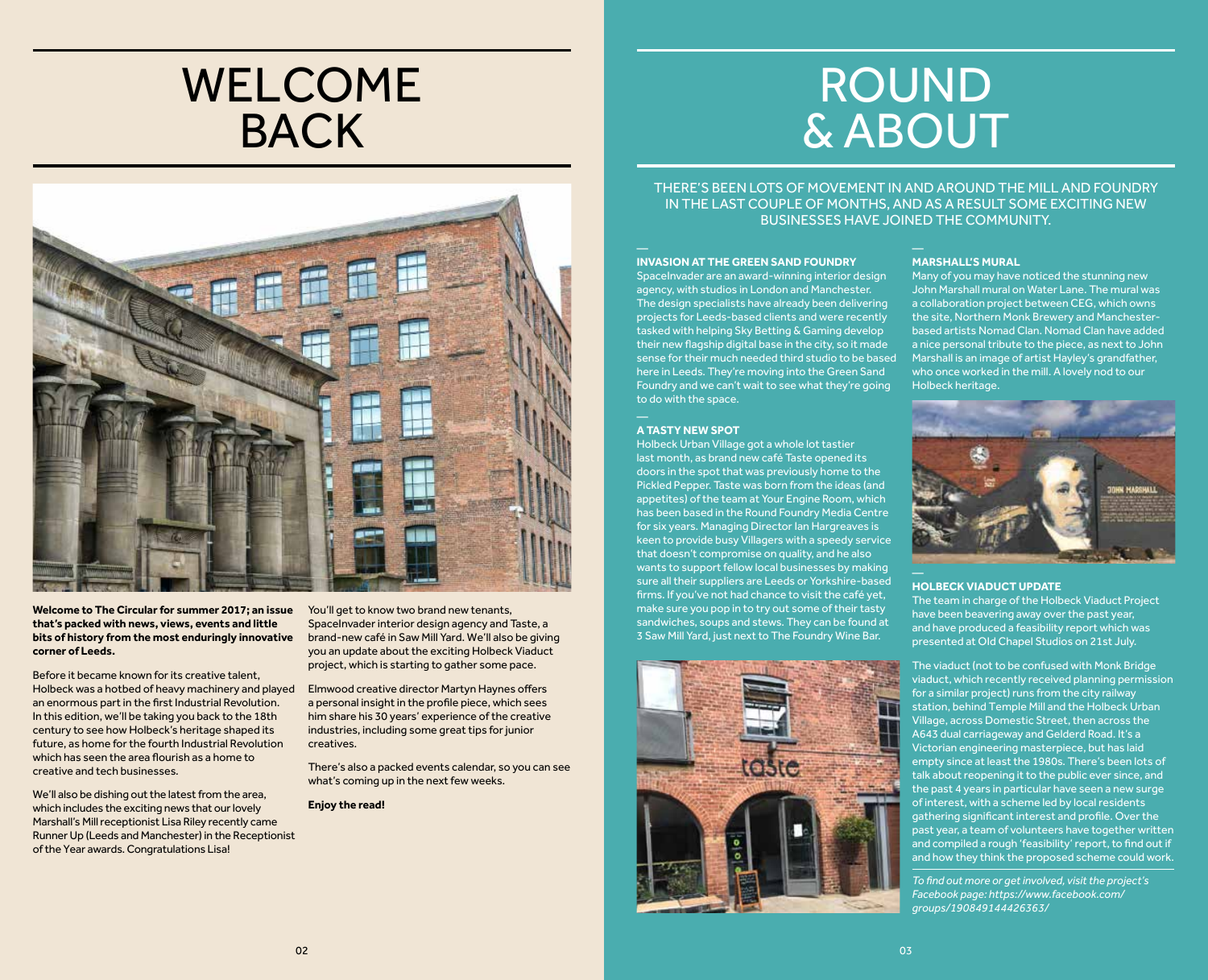### WELCOME BACK



**Welcome to The Circular for summer 2017; an issue that's packed with news, views, events and little bits of history from the most enduringly innovative corner of Leeds.**

Before it became known for its creative talent, Holbeck was a hotbed of heavy machinery and played an enormous part in the first Industrial Revolution. In this edition, we'll be taking you back to the 18th century to see how Holbeck's heritage shaped its future, as home for the fourth Industrial Revolution which has seen the area flourish as a home to creative and tech businesses.

We'll also be dishing out the latest from the area, which includes the exciting news that our lovely Marshall's Mill receptionist Lisa Riley recently came Runner Up (Leeds and Manchester) in the Receptionist of the Year awards. Congratulations Lisa!

You'll get to know two brand new tenants, SpaceInvader interior design agency and Taste, a brand-new café in Saw Mill Yard. We'll also be giving you an update about the exciting Holbeck Viaduct project, which is starting to gather some pace.

Elmwood creative director Martyn Haynes offers a personal insight in the profile piece, which sees him share his 30 years' experience of the creative industries, including some great tips for junior creatives.

There's also a packed events calendar, so you can see what's coming up in the next few weeks.

**Enjoy the read!**

### ROUND & ABOUT

THERE'S BEEN LOTS OF MOVEMENT IN AND AROUND THE MILL AND FOUNDRY IN THE LAST COUPLE OF MONTHS, AND AS A RESULT SOME EXCITING NEW BUSINESSES HAVE JOINED THE COMMUNITY.

#### **INVASION AT THE GREEN SAND FOUNDRY**

SpaceInvader are an award-winning interior design agency, with studios in London and Manchester. The design specialists have already been delivering projects for Leeds-based clients and were recently tasked with helping Sky Betting & Gaming develop their new flagship digital base in the city, so it made sense for their much needed third studio to be based here in Leeds. They're moving into the Green Sand Foundry and we can't wait to see what they're going to do with the space.

#### **A TASTY NEW SPOT**

Holbeck Urban Village got a whole lot tastier last month, as brand new café Taste opened its doors in the spot that was previously home to the Pickled Pepper. Taste was born from the ideas (and appetites) of the team at Your Engine Room, which has been based in the Round Foundry Media Centre for six years. Managing Director Ian Hargreaves is keen to provide busy Villagers with a speedy service that doesn't compromise on quality, and he also wants to support fellow local businesses by making sure all their suppliers are Leeds or Yorkshire-based firms. If you've not had chance to visit the café yet, make sure you pop in to try out some of their tasty sandwiches, soups and stews. They can be found at 3 Saw Mill Yard, just next to The Foundry Wine Bar.



#### **MARSHALL'S MURAL**

Many of you may have noticed the stunning new John Marshall mural on Water Lane. The mural was a collaboration project between CEG, which owns the site, Northern Monk Brewery and Manchesterbased artists Nomad Clan. Nomad Clan have added a nice personal tribute to the piece, as next to John Marshall is an image of artist Hayley's grandfather, who once worked in the mill. A lovely nod to our Holbeck heritage.



#### **HOLBECK VIADUCT UPDATE**

The team in charge of the Holbeck Viaduct Project have been beavering away over the past year, and have produced a feasibility report which was presented at OId Chapel Studios on 21st July.

The viaduct (not to be confused with Monk Bridge viaduct, which recently received planning permission for a similar project) runs from the city railway station, behind Temple Mill and the Holbeck Urban Village, across Domestic Street, then across the A643 dual carriageway and Gelderd Road. It's a Victorian engineering masterpiece, but has laid empty since at least the 1980s. There's been lots of talk about reopening it to the public ever since, and the past 4 years in particular have seen a new surge of interest, with a scheme led by local residents gathering significant interest and profile. Over the past year, a team of volunteers have together written and compiled a rough 'feasibility' report, to find out if and how they think the proposed scheme could work.

*To find out more or get involved, visit the project's Facebook page: https://www.facebook.com/ groups/190849144426363/*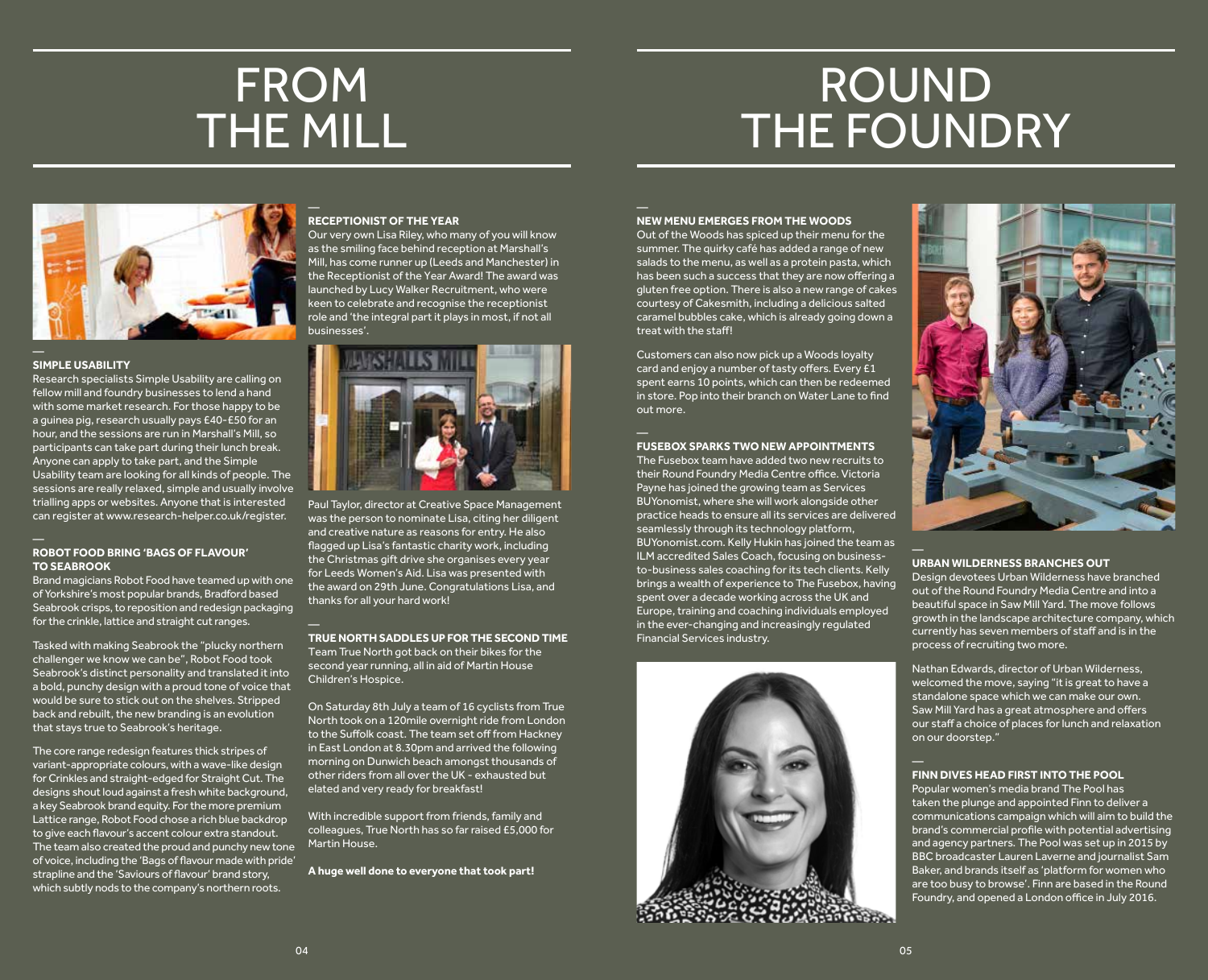### FROM THE MILL

## ROUND THE FOUNDRY



#### **SIMPLE USABILITY**

Research specialists Simple Usability are calling on fellow mill and foundry businesses to lend a hand with some market research. For those happy to be a guinea pig, research usually pays £40-£50 for an hour, and the sessions are run in Marshall's Mill, so participants can take part during their lunch break. Anyone can apply to take part, and the Simple Usability team are looking for all kinds of people. The sessions are really relaxed, simple and usually involve trialling apps or websites. Anyone that is interested can register at www.research-helper.co.uk/register.

#### **ROBOT FOOD BRING 'BAGS OF FLAVOUR' TO SEABROOK**

Brand magicians Robot Food have teamed up with one of Yorkshire's most popular brands, Bradford based Seabrook crisps, to reposition and redesign packaging for the crinkle, lattice and straight cut ranges.

Tasked with making Seabrook the "plucky northern challenger we know we can be", Robot Food took Seabrook's distinct personality and translated it into a bold, punchy design with a proud tone of voice that would be sure to stick out on the shelves. Stripped back and rebuilt, the new branding is an evolution that stays true to Seabrook's heritage.

The core range redesign features thick stripes of variant-appropriate colours, with a wave-like design for Crinkles and straight-edged for Straight Cut. The designs shout loud against a fresh white background, a key Seabrook brand equity. For the more premium Lattice range, Robot Food chose a rich blue backdrop to give each flavour's accent colour extra standout. The team also created the proud and punchy new tone of voice, including the 'Bags of flavour made with pride' strapline and the 'Saviours of flavour' brand story, which subtly nods to the company's northern roots.

#### **RECEPTIONIST OF THE YEAR**

Our very own Lisa Riley, who many of you will know as the smiling face behind reception at Marshall's Mill, has come runner up (Leeds and Manchester) in the Receptionist of the Year Award! The award was launched by Lucy Walker Recruitment, who were keen to celebrate and recognise the receptionist role and 'the integral part it plays in most, if not all businesses'.



Paul Taylor, director at Creative Space Management was the person to nominate Lisa, citing her diligent and creative nature as reasons for entry. He also flagged up Lisa's fantastic charity work, including the Christmas gift drive she organises every year for Leeds Women's Aid. Lisa was presented with the award on 29th June. Congratulations Lisa, and thanks for all your hard work!

**TRUE NORTH SADDLES UP FOR THE SECOND TIME** Team True North got back on their bikes for the second year running, all in aid of Martin House Children's Hospice.

On Saturday 8th July a team of 16 cyclists from True North took on a 120mile overnight ride from London to the Suffolk coast. The team set off from Hackney in East London at 8.30pm and arrived the following morning on Dunwich beach amongst thousands of other riders from all over the UK - exhausted but elated and very ready for breakfast!

With incredible support from friends, family and colleagues, True North has so far raised £5,000 for Martin House.

**A huge well done to everyone that took part!**

#### **NEW MENU EMERGES FROM THE WOODS**

Out of the Woods has spiced up their menu for the summer. The quirky café has added a range of new salads to the menu, as well as a protein pasta, which has been such a success that they are now offering a gluten free option. There is also a new range of cakes courtesy of Cakesmith, including a delicious salted caramel bubbles cake, which is already going down a treat with the staff!

Customers can also now pick up a Woods loyalty card and enjoy a number of tasty offers. Every £1 spent earns 10 points, which can then be redeemed in store. Pop into their branch on Water Lane to find out more.

#### **FUSEBOX SPARKS TWO NEW APPOINTMENTS**

The Fusebox team have added two new recruits to their Round Foundry Media Centre office. Victoria Payne has joined the growing team as Services BUYonomist, where she will work alongside other practice heads to ensure all its services are delivered seamlessly through its technology platform, BUYonomist.com. Kelly Hukin has joined the team as ILM accredited Sales Coach, focusing on businessto-business sales coaching for its tech clients. Kelly brings a wealth of experience to The Fusebox, having spent over a decade working across the UK and Europe, training and coaching individuals employed in the ever-changing and increasingly regulated Financial Services industry.





#### **URBAN WILDERNESS BRANCHES OUT**

Design devotees Urban Wilderness have branched out of the Round Foundry Media Centre and into a beautiful space in Saw Mill Yard. The move follows growth in the landscape architecture company, which currently has seven members of staff and is in the process of recruiting two more.

Nathan Edwards, director of Urban Wilderness, welcomed the move, saying "it is great to have a standalone space which we can make our own. Saw Mill Yard has a great atmosphere and offers our staff a choice of places for lunch and relaxation on our doorstep."

#### **FINN DIVES HEAD FIRST INTO THE POOL**

Popular women's media brand The Pool has taken the plunge and appointed Finn to deliver a communications campaign which will aim to build the brand's commercial profile with potential advertising and agency partners. The Pool was set up in 2015 by BBC broadcaster Lauren Laverne and journalist Sam Baker, and brands itself as 'platform for women who are too busy to browse'. Finn are based in the Round Foundry, and opened a London office in July 2016.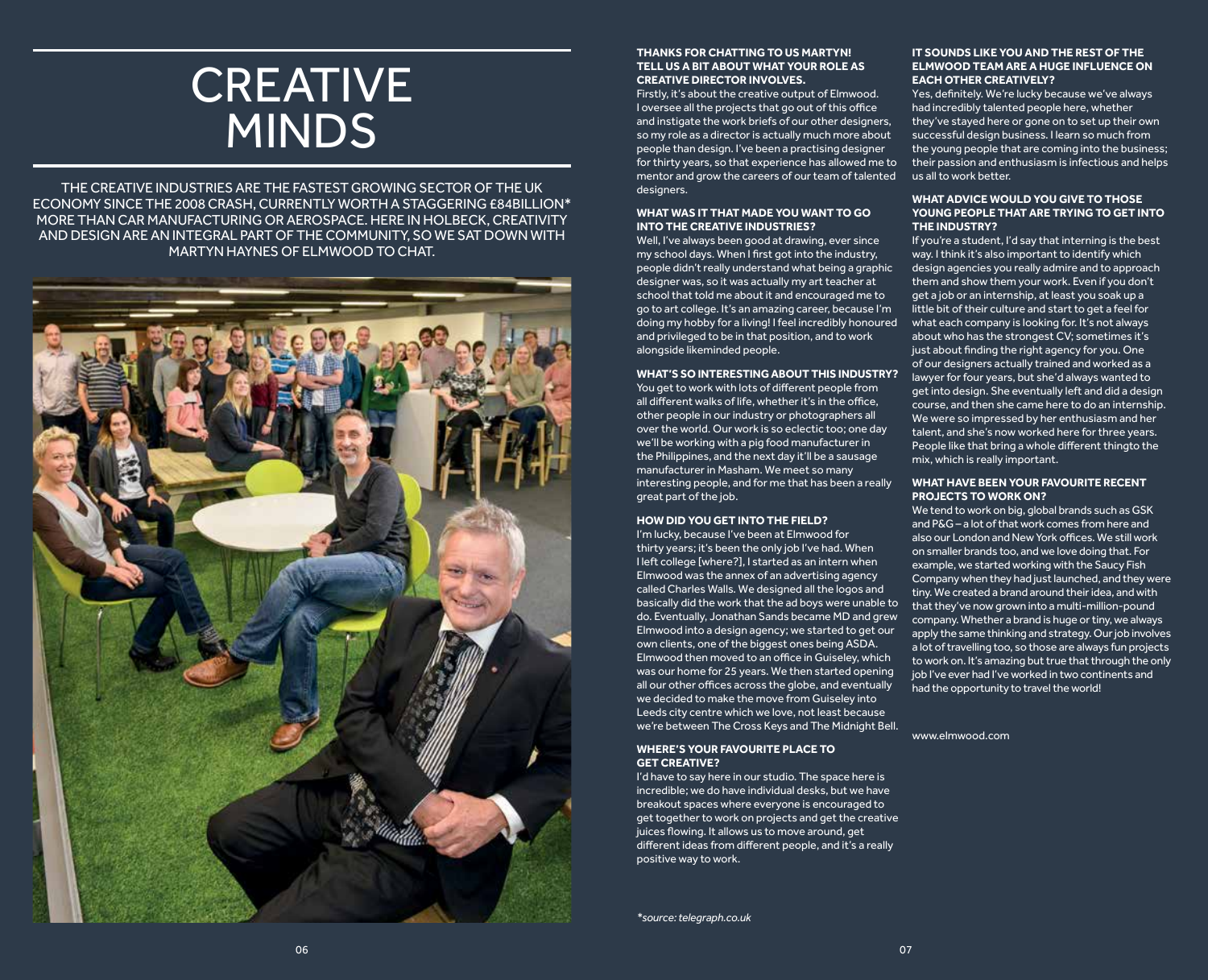### **CREATIVE** MINDS

THE CREATIVE INDUSTRIES ARE THE FASTEST GROWING SECTOR OF THE UK ECONOMY SINCE THE 2008 CRASH, CURRENTLY WORTH A STAGGERING £84BILLION\* MORE THAN CAR MANUFACTURING OR AEROSPACE. HERE IN HOLBECK, CREATIVITY AND DESIGN ARE AN INTEGRAL PART OF THE COMMUNITY, SO WE SAT DOWN WITH MARTYN HAYNES OF ELMWOOD TO CHAT.



#### **THANKS FOR CHATTING TO US MARTYN! TELL US A BIT ABOUT WHAT YOUR ROLE AS CREATIVE DIRECTOR INVOLVES.**

Firstly, it's about the creative output of Elmwood. I oversee all the projects that go out of this office and instigate the work briefs of our other designers, so my role as a director is actually much more about people than design. I've been a practising designer for thirty years, so that experience has allowed me to mentor and grow the careers of our team of talented designers.

#### **WHAT WAS IT THAT MADE YOU WANT TO GO INTO THE CREATIVE INDUSTRIES?**

Well, I've always been good at drawing, ever since my school days. When I first got into the industry, people didn't really understand what being a graphic designer was, so it was actually my art teacher at school that told me about it and encouraged me to go to art college. It's an amazing career, because I'm doing my hobby for a living! I feel incredibly honoured and privileged to be in that position, and to work alongside likeminded people.

#### **WHAT'S SO INTERESTING ABOUT THIS INDUSTRY?**

You get to work with lots of different people from all different walks of life, whether it's in the office, other people in our industry or photographers all over the world. Our work is so eclectic too; one day we'll be working with a pig food manufacturer in the Philippines, and the next day it'll be a sausage manufacturer in Masham. We meet so many interesting people, and for me that has been a really great part of the job.

#### **HOW DID YOU GET INTO THE FIELD?**

I'm lucky, because I've been at Elmwood for thirty years; it's been the only job I've had. When I left college [where?], I started as an intern when Elmwood was the annex of an advertising agency called Charles Walls. We designed all the logos and basically did the work that the ad boys were unable to do. Eventually, Jonathan Sands became MD and grew Elmwood into a design agency; we started to get our own clients, one of the biggest ones being ASDA. Elmwood then moved to an office in Guiseley, which was our home for 25 years. We then started opening all our other offices across the globe, and eventually we decided to make the move from Guiseley into Leeds city centre which we love, not least because we're between The Cross Keys and The Midnight Bell.

#### **WHERE'S YOUR FAVOURITE PLACE TO GET CREATIVE?**

I'd have to say here in our studio. The space here is incredible; we do have individual desks, but we have breakout spaces where everyone is encouraged to get together to work on projects and get the creative juices flowing. It allows us to move around, get different ideas from different people, and it's a really positive way to work.

#### *\*source: telegraph.co.uk*

#### **IT SOUNDS LIKE YOU AND THE REST OF THE ELMWOOD TEAM ARE A HUGE INFLUENCE ON EACH OTHER CREATIVELY?**

Yes, definitely. We're lucky because we've always had incredibly talented people here, whether they've stayed here or gone on to set up their own successful design business. I learn so much from the young people that are coming into the business; their passion and enthusiasm is infectious and helps us all to work better.

#### **WHAT ADVICE WOULD YOU GIVE TO THOSE YOUNG PEOPLE THAT ARE TRYING TO GET INTO THE INDUSTRY?**

If you're a student, I'd say that interning is the best way. I think it's also important to identify which design agencies you really admire and to approach them and show them your work. Even if you don't get a job or an internship, at least you soak up a little bit of their culture and start to get a feel for what each company is looking for. It's not always about who has the strongest CV; sometimes it's just about finding the right agency for you. One of our designers actually trained and worked as a lawyer for four years, but she'd always wanted to get into design. She eventually left and did a design course, and then she came here to do an internship. We were so impressed by her enthusiasm and her talent, and she's now worked here for three years. People like that bring a whole different thingto the mix, which is really important.

#### **WHAT HAVE BEEN YOUR FAVOURITE RECENT PROJECTS TO WORK ON?**

We tend to work on big, global brands such as GSK and P&G – a lot of that work comes from here and also our London and New York offices. We still work on smaller brands too, and we love doing that. For example, we started working with the Saucy Fish Company when they had just launched, and they were tiny. We created a brand around their idea, and with that they've now grown into a multi-million-pound company. Whether a brand is huge or tiny, we always apply the same thinking and strategy. Our job involves a lot of travelling too, so those are always fun projects to work on. It's amazing but true that through the only job I've ever had I've worked in two continents and had the opportunity to travel the world!

www.elmwood.com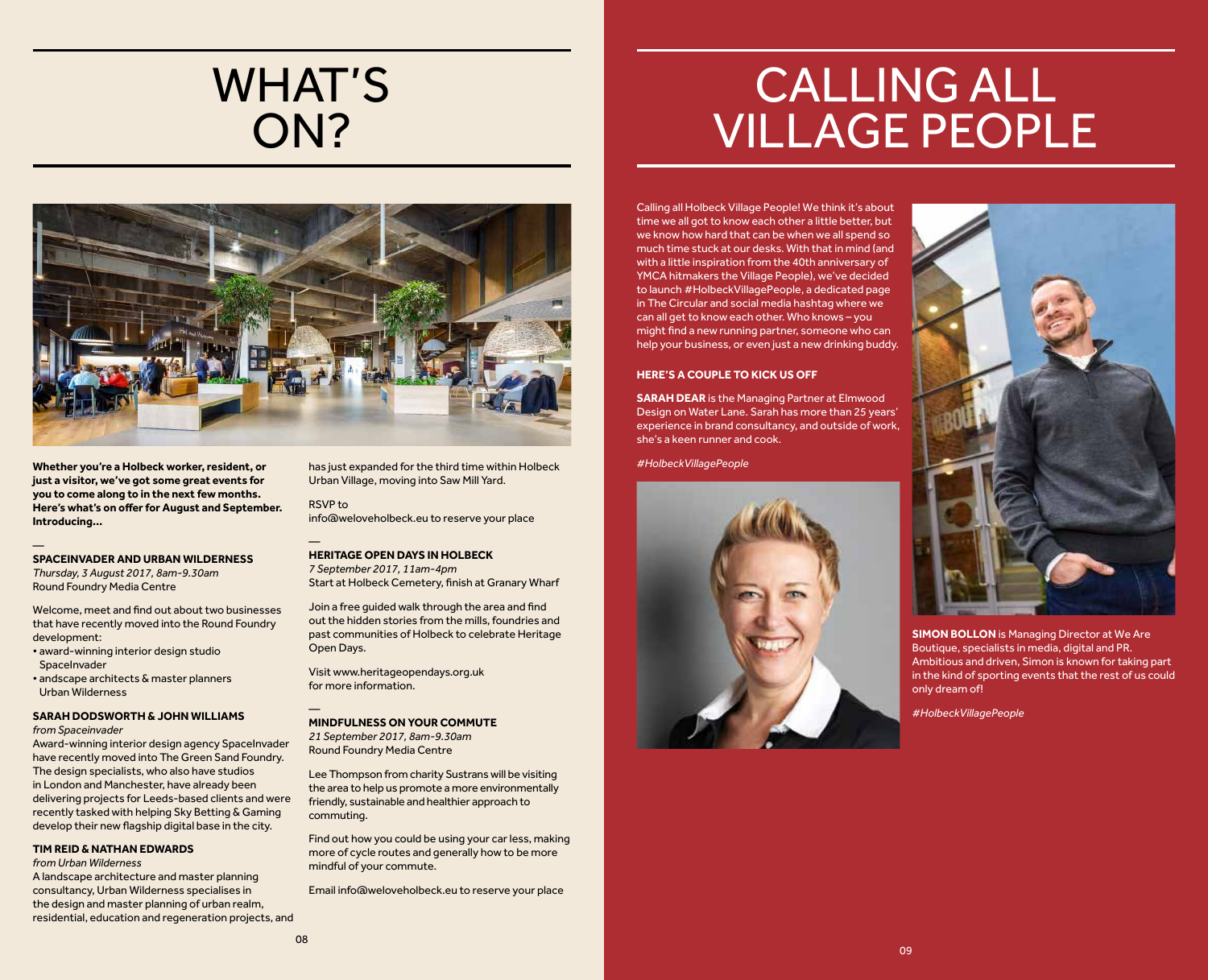### WHAT'S ON?

## CALLING ALL VILLAGE PEOPLE

Calling all Holbeck Village People! We think it's about time we all got to know each other a little better, but we know how hard that can be when we all spend so much time stuck at our desks. With that in mind (and with a little inspiration from the 40th anniversary of YMCA hitmakers the Village People), we've decided to launch #HolbeckVillagePeople, a dedicated page in The Circular and social media hashtag where we can all get to know each other. Who knows – you might find a new running partner, someone who can help your business, or even just a new drinking buddy.

#### **HERE'S A COUPLE TO KICK US OFF**

**SARAH DEAR** is the Managing Partner at Elmwood Design on Water Lane. Sarah has more than 25 years' experience in brand consultancy, and outside of work, she's a keen runner and cook.

*#HolbeckVillagePeople*





**SIMON BOLLON** is Managing Director at We Are Boutique, specialists in media, digital and PR. Ambitious and driven, Simon is known for taking part in the kind of sporting events that the rest of us could only dream of!

*#HolbeckVillagePeople*



**Whether you're a Holbeck worker, resident, or just a visitor, we've got some great events for you to come along to in the next few months. Here's what's on offer for August and September. Introducing…** 

— **SPACEINVADER AND URBAN WILDERNESS** *Thursday, 3 August 2017, 8am-9.30am*

Round Foundry Media Centre Welcome, meet and find out about two businesses

that have recently moved into the Round Foundry development:

- award-winning interior design studio SpaceInvader
- andscape architects & master planners Urban Wilderness

#### **SARAH DODSWORTH & JOHN WILLIAMS**  *from Spaceinvader*

Award-winning interior design agency SpaceInvader have recently moved into The Green Sand Foundry. The design specialists, who also have studios in London and Manchester, have already been delivering projects for Leeds-based clients and were recently tasked with helping Sky Betting & Gaming develop their new flagship digital base in the city.

#### **TIM REID & NATHAN EDWARDS**

#### *from Urban Wilderness*

A landscape architecture and master planning consultancy, Urban Wilderness specialises in the design and master planning of urban realm. residential, education and regeneration projects, and has just expanded for the third time within Holbeck Urban Village, moving into Saw Mill Yard.

RSVP to info@weloveholbeck.eu to reserve your place

— **HERITAGE OPEN DAYS IN HOLBECK** *7 September 2017, 11am-4pm* Start at Holbeck Cemetery, finish at Granary Wharf

Join a free guided walk through the area and find out the hidden stories from the mills, foundries and past communities of Holbeck to celebrate Heritage Open Days.

Visit www.heritageopendays.org.uk for more information.

— **MINDFULNESS ON YOUR COMMUTE** *21 September 2017, 8am-9.30am* Round Foundry Media Centre

Lee Thompson from charity Sustrans will be visiting the area to help us promote a more environmentally friendly, sustainable and healthier approach to commuting.

Find out how you could be using your car less, making more of cycle routes and generally how to be more mindful of your commute.

Email info@weloveholbeck.eu to reserve your place